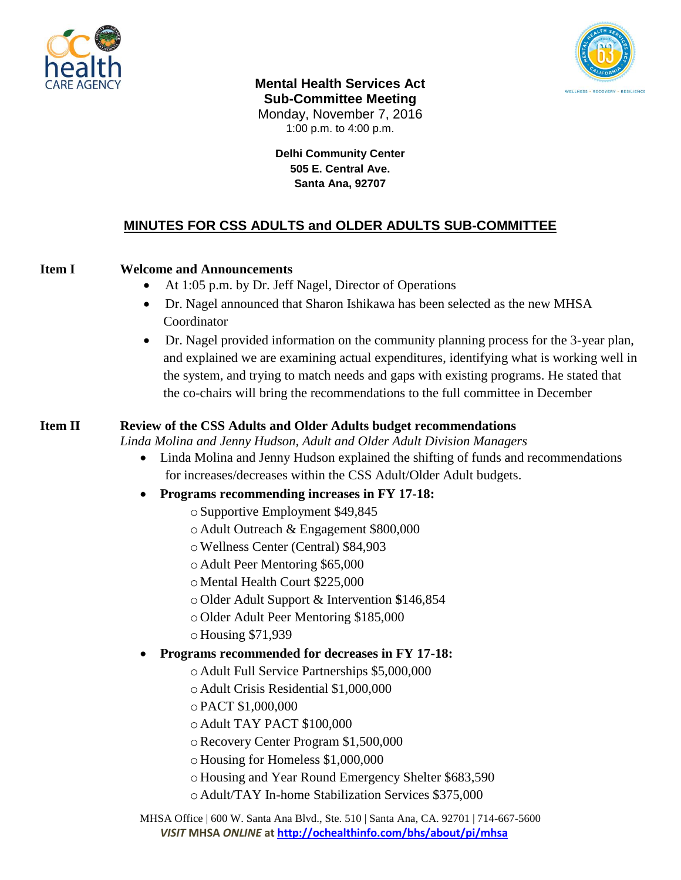



**Mental Health Services Act Sub-Committee Meeting** Monday, November 7, 2016 1:00 p.m. to 4:00 p.m.

> **Delhi Community Center 505 E. Central Ave. Santa Ana, 92707**

# **MINUTES FOR CSS ADULTS and OLDER ADULTS SUB-COMMITTEE**

## **Item I Welcome and Announcements**

- At 1:05 p.m. by Dr. Jeff Nagel, Director of Operations
- Dr. Nagel announced that Sharon Ishikawa has been selected as the new MHSA Coordinator
- Dr. Nagel provided information on the community planning process for the 3-year plan, and explained we are examining actual expenditures, identifying what is working well in the system, and trying to match needs and gaps with existing programs. He stated that the co-chairs will bring the recommendations to the full committee in December

#### **Item II Review of the CSS Adults and Older Adults budget recommendations**

*Linda Molina and Jenny Hudson, Adult and Older Adult Division Managers*

- Linda Molina and Jenny Hudson explained the shifting of funds and recommendations for increases/decreases within the CSS Adult/Older Adult budgets.
- **Programs recommending increases in FY 17-18:**
	- oSupportive Employment \$49,845
	- o Adult Outreach & Engagement \$800,000
	- oWellness Center (Central) \$84,903
	- o Adult Peer Mentoring \$65,000
	- o Mental Health Court \$225,000
	- o Older Adult Support & Intervention **\$**146,854
	- o Older Adult Peer Mentoring \$185,000
	- o Housing \$71,939
- **Programs recommended for decreases in FY 17-18:** 
	- o Adult Full Service Partnerships \$5,000,000
	- o Adult Crisis Residential \$1,000,000
	- oPACT \$1,000,000
	- o Adult TAY PACT \$100,000
	- oRecovery Center Program \$1,500,000
	- o Housing for Homeless \$1,000,000
	- o Housing and Year Round Emergency Shelter \$683,590
	- o Adult/TAY In-home Stabilization Services \$375,000